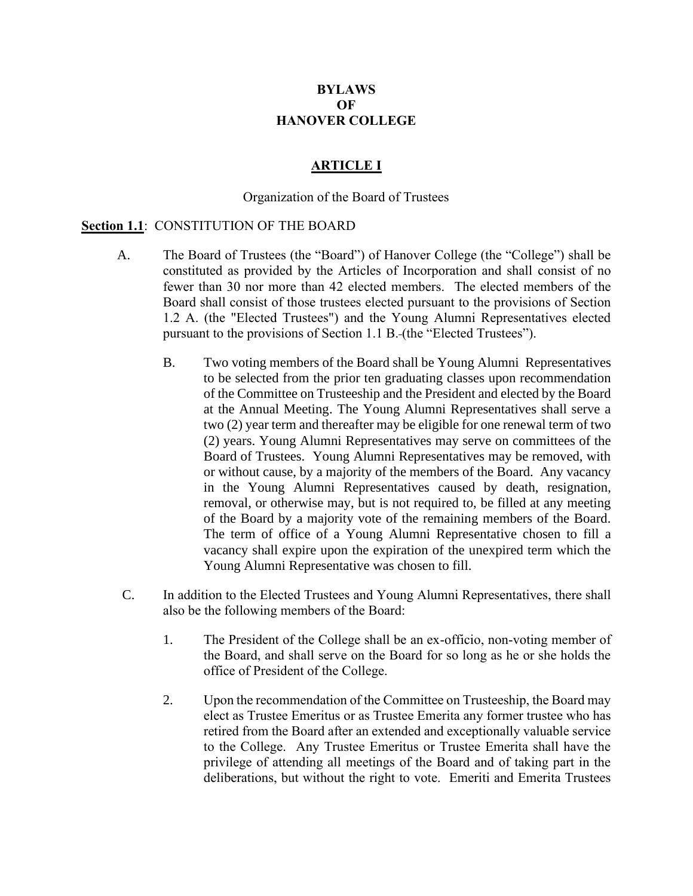# **BYLAWS OF HANOVER COLLEGE**

### **ARTICLE I**

#### Organization of the Board of Trustees

#### **Section 1.1**: CONSTITUTION OF THE BOARD

- A. The Board of Trustees (the "Board") of Hanover College (the "College") shall be constituted as provided by the Articles of Incorporation and shall consist of no fewer than 30 nor more than 42 elected members. The elected members of the Board shall consist of those trustees elected pursuant to the provisions of Section 1.2 A. (the "Elected Trustees") and the Young Alumni Representatives elected pursuant to the provisions of Section 1.1 B. (the "Elected Trustees").
	- B. Two voting members of the Board shall be Young Alumni Representatives to be selected from the prior ten graduating classes upon recommendation of the Committee on Trusteeship and the President and elected by the Board at the Annual Meeting. The Young Alumni Representatives shall serve a two (2) year term and thereafter may be eligible for one renewal term of two (2) years. Young Alumni Representatives may serve on committees of the Board of Trustees. Young Alumni Representatives may be removed, with or without cause, by a majority of the members of the Board. Any vacancy in the Young Alumni Representatives caused by death, resignation, removal, or otherwise may, but is not required to, be filled at any meeting of the Board by a majority vote of the remaining members of the Board. The term of office of a Young Alumni Representative chosen to fill a vacancy shall expire upon the expiration of the unexpired term which the Young Alumni Representative was chosen to fill.
- C. In addition to the Elected Trustees and Young Alumni Representatives, there shall also be the following members of the Board:
	- 1. The President of the College shall be an ex-officio, non-voting member of the Board, and shall serve on the Board for so long as he or she holds the office of President of the College.
	- 2. Upon the recommendation of the Committee on Trusteeship, the Board may elect as Trustee Emeritus or as Trustee Emerita any former trustee who has retired from the Board after an extended and exceptionally valuable service to the College. Any Trustee Emeritus or Trustee Emerita shall have the privilege of attending all meetings of the Board and of taking part in the deliberations, but without the right to vote. Emeriti and Emerita Trustees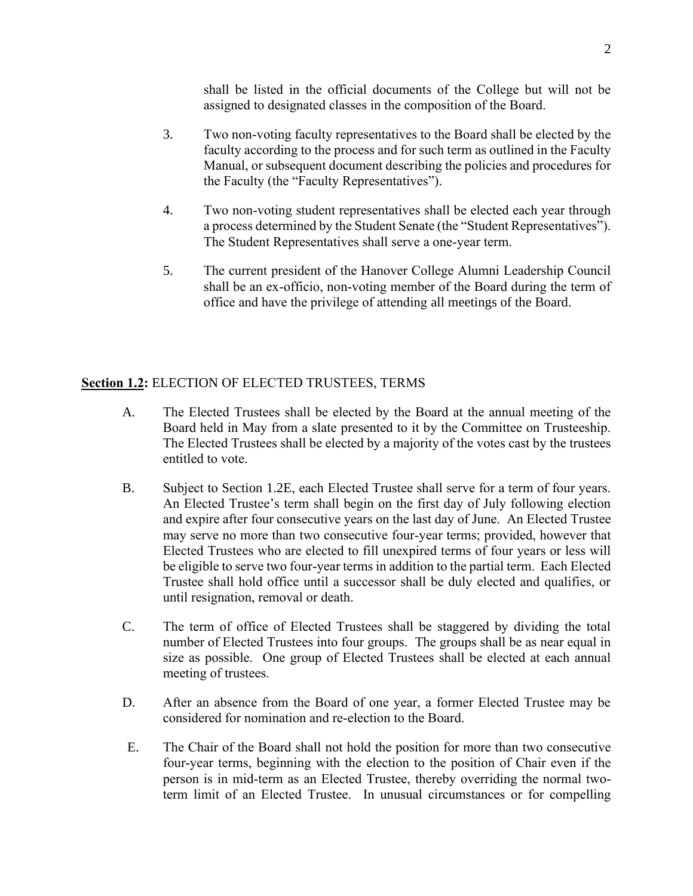shall be listed in the official documents of the College but will not be assigned to designated classes in the composition of the Board.

- 3. Two non-voting faculty representatives to the Board shall be elected by the faculty according to the process and for such term as outlined in the Faculty Manual, or subsequent document describing the policies and procedures for the Faculty (the "Faculty Representatives").
- 4. Two non-voting student representatives shall be elected each year through a process determined by the Student Senate (the "Student Representatives"). The Student Representatives shall serve a one-year term.
- 5. The current president of the Hanover College Alumni Leadership Council shall be an ex-officio, non-voting member of the Board during the term of office and have the privilege of attending all meetings of the Board.

# <span id="page-1-0"></span>**Section 1.2:** ELECTION OF ELECTED TRUSTEES, TERMS

- A. The Elected Trustees shall be elected by the Board at the annual meeting of the Board held in May from a slate presented to it by the Committee on Trusteeship. The Elected Trustees shall be elected by a majority of the votes cast by the trustees entitled to vote.
- B. Subject to [Section 1.2](#page-1-0)[E,](#page-1-1) each Elected Trustee shall serve for a term of four years. An Elected Trustee's term shall begin on the first day of July following election and expire after four consecutive years on the last day of June. An Elected Trustee may serve no more than two consecutive four-year terms; provided, however that Elected Trustees who are elected to fill unexpired terms of four years or less will be eligible to serve two four-year terms in addition to the partial term. Each Elected Trustee shall hold office until a successor shall be duly elected and qualifies, or until resignation, removal or death.
- C. The term of office of Elected Trustees shall be staggered by dividing the total number of Elected Trustees into four groups. The groups shall be as near equal in size as possible. One group of Elected Trustees shall be elected at each annual meeting of trustees.
- D. After an absence from the Board of one year, a former Elected Trustee may be considered for nomination and re-election to the Board.
- <span id="page-1-1"></span>E. The Chair of the Board shall not hold the position for more than two consecutive four-year terms, beginning with the election to the position of Chair even if the person is in mid-term as an Elected Trustee, thereby overriding the normal twoterm limit of an Elected Trustee. In unusual circumstances or for compelling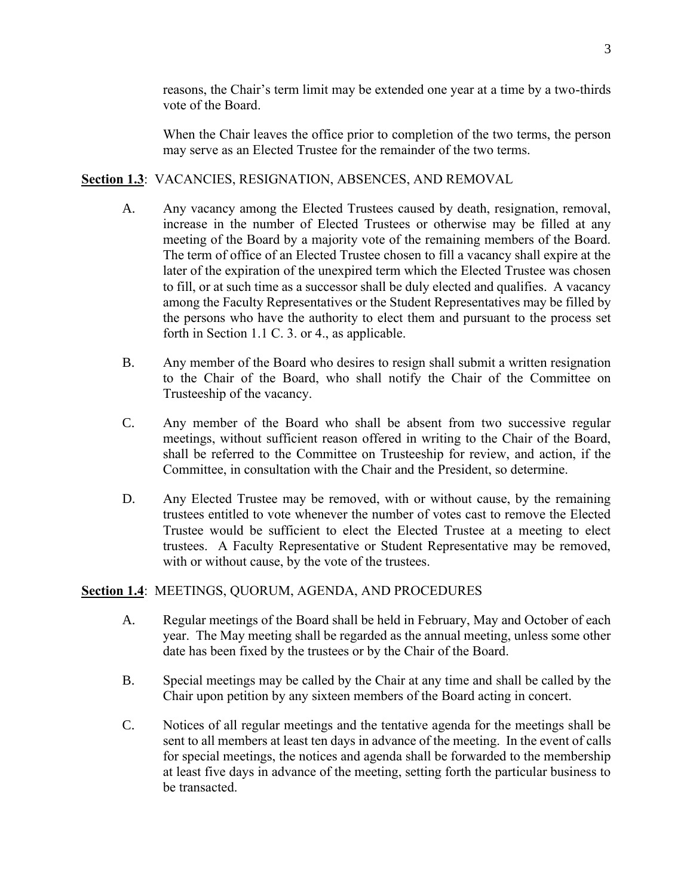reasons, the Chair's term limit may be extended one year at a time by a two-thirds vote of the Board.

When the Chair leaves the office prior to completion of the two terms, the person may serve as an Elected Trustee for the remainder of the two terms.

# **Section 1.3**: VACANCIES, RESIGNATION, ABSENCES, AND REMOVAL

- A. Any vacancy among the Elected Trustees caused by death, resignation, removal, increase in the number of Elected Trustees or otherwise may be filled at any meeting of the Board by a majority vote of the remaining members of the Board. The term of office of an Elected Trustee chosen to fill a vacancy shall expire at the later of the expiration of the unexpired term which the Elected Trustee was chosen to fill, or at such time as a successor shall be duly elected and qualifies. A vacancy among the Faculty Representatives or the Student Representatives may be filled by the persons who have the authority to elect them and pursuant to the process set forth in Section 1.1 C. 3. or 4., as applicable.
- B. Any member of the Board who desires to resign shall submit a written resignation to the Chair of the Board, who shall notify the Chair of the Committee on Trusteeship of the vacancy.
- C. Any member of the Board who shall be absent from two successive regular meetings, without sufficient reason offered in writing to the Chair of the Board, shall be referred to the Committee on Trusteeship for review, and action, if the Committee, in consultation with the Chair and the President, so determine.
- D. Any Elected Trustee may be removed, with or without cause, by the remaining trustees entitled to vote whenever the number of votes cast to remove the Elected Trustee would be sufficient to elect the Elected Trustee at a meeting to elect trustees. A Faculty Representative or Student Representative may be removed, with or without cause, by the vote of the trustees.

# <span id="page-2-0"></span>**Section 1.4**: MEETINGS, QUORUM, AGENDA, AND PROCEDURES

- A. Regular meetings of the Board shall be held in February, May and October of each year. The May meeting shall be regarded as the annual meeting, unless some other date has been fixed by the trustees or by the Chair of the Board.
- B. Special meetings may be called by the Chair at any time and shall be called by the Chair upon petition by any sixteen members of the Board acting in concert.
- C. Notices of all regular meetings and the tentative agenda for the meetings shall be sent to all members at least ten days in advance of the meeting. In the event of calls for special meetings, the notices and agenda shall be forwarded to the membership at least five days in advance of the meeting, setting forth the particular business to be transacted.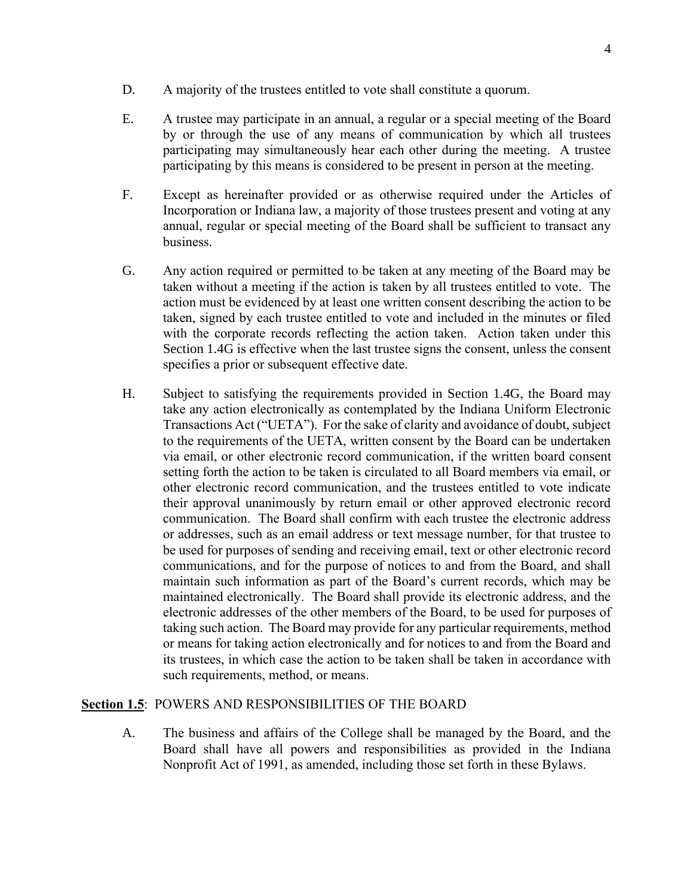- D. A majority of the trustees entitled to vote shall constitute a quorum.
- E. A trustee may participate in an annual, a regular or a special meeting of the Board by or through the use of any means of communication by which all trustees participating may simultaneously hear each other during the meeting. A trustee participating by this means is considered to be present in person at the meeting.
- F. Except as hereinafter provided or as otherwise required under the Articles of Incorporation or Indiana law, a majority of those trustees present and voting at any annual, regular or special meeting of the Board shall be sufficient to transact any business.
- <span id="page-3-0"></span>G. Any action required or permitted to be taken at any meeting of the Board may be taken without a meeting if the action is taken by all trustees entitled to vote. The action must be evidenced by at least one written consent describing the action to be taken, signed by each trustee entitled to vote and included in the minutes or filed with the corporate records reflecting the action taken. Action taken under this [Section 1.4](#page-2-0)[G](#page-3-0) is effective when the last trustee signs the consent, unless the consent specifies a prior or subsequent effective date.
- H. Subject to satisfying the requirements provided in [Section 1.4](#page-2-0)[G,](#page-3-0) the Board may take any action electronically as contemplated by the Indiana Uniform Electronic Transactions Act ("UETA"). For the sake of clarity and avoidance of doubt, subject to the requirements of the UETA, written consent by the Board can be undertaken via email, or other electronic record communication, if the written board consent setting forth the action to be taken is circulated to all Board members via email, or other electronic record communication, and the trustees entitled to vote indicate their approval unanimously by return email or other approved electronic record communication. The Board shall confirm with each trustee the electronic address or addresses, such as an email address or text message number, for that trustee to be used for purposes of sending and receiving email, text or other electronic record communications, and for the purpose of notices to and from the Board, and shall maintain such information as part of the Board's current records, which may be maintained electronically. The Board shall provide its electronic address, and the electronic addresses of the other members of the Board, to be used for purposes of taking such action. The Board may provide for any particular requirements, method or means for taking action electronically and for notices to and from the Board and its trustees, in which case the action to be taken shall be taken in accordance with such requirements, method, or means.

# **Section 1.5**: POWERS AND RESPONSIBILITIES OF THE BOARD

A. The business and affairs of the College shall be managed by the Board, and the Board shall have all powers and responsibilities as provided in the Indiana Nonprofit Act of 1991, as amended, including those set forth in these Bylaws.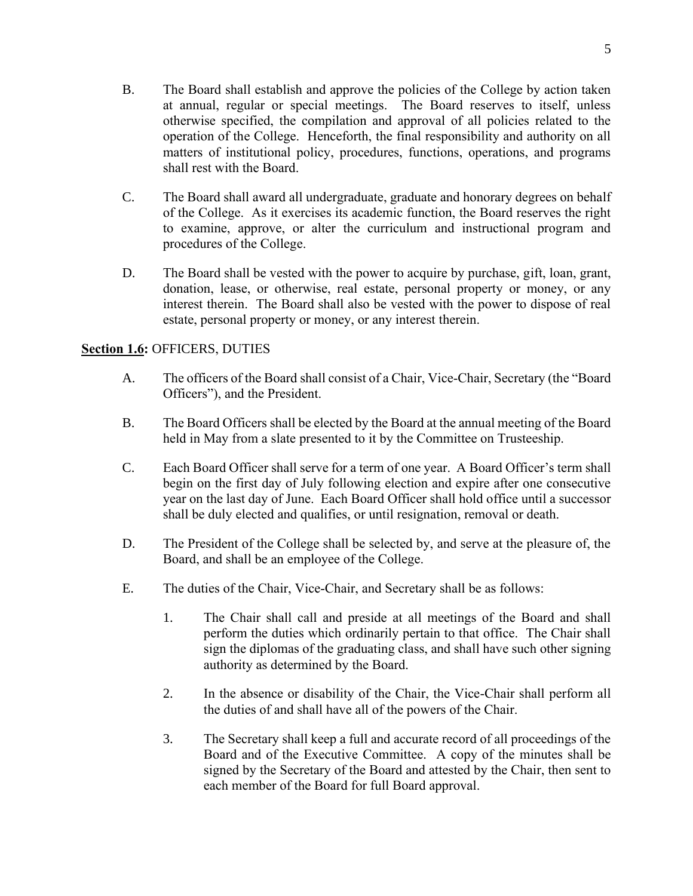- B. The Board shall establish and approve the policies of the College by action taken at annual, regular or special meetings. The Board reserves to itself, unless otherwise specified, the compilation and approval of all policies related to the operation of the College. Henceforth, the final responsibility and authority on all matters of institutional policy, procedures, functions, operations, and programs shall rest with the Board.
- C. The Board shall award all undergraduate, graduate and honorary degrees on behalf of the College. As it exercises its academic function, the Board reserves the right to examine, approve, or alter the curriculum and instructional program and procedures of the College.
- D. The Board shall be vested with the power to acquire by purchase, gift, loan, grant, donation, lease, or otherwise, real estate, personal property or money, or any interest therein. The Board shall also be vested with the power to dispose of real estate, personal property or money, or any interest therein.

# **Section 1.6:** OFFICERS, DUTIES

- A. The officers of the Board shall consist of a Chair, Vice-Chair, Secretary (the "Board Officers"), and the President.
- B. The Board Officers shall be elected by the Board at the annual meeting of the Board held in May from a slate presented to it by the Committee on Trusteeship.
- C. Each Board Officer shall serve for a term of one year. A Board Officer's term shall begin on the first day of July following election and expire after one consecutive year on the last day of June. Each Board Officer shall hold office until a successor shall be duly elected and qualifies, or until resignation, removal or death.
- D. The President of the College shall be selected by, and serve at the pleasure of, the Board, and shall be an employee of the College.
- E. The duties of the Chair, Vice-Chair, and Secretary shall be as follows:
	- 1. The Chair shall call and preside at all meetings of the Board and shall perform the duties which ordinarily pertain to that office. The Chair shall sign the diplomas of the graduating class, and shall have such other signing authority as determined by the Board.
	- 2. In the absence or disability of the Chair, the Vice-Chair shall perform all the duties of and shall have all of the powers of the Chair.
	- 3. The Secretary shall keep a full and accurate record of all proceedings of the Board and of the Executive Committee. A copy of the minutes shall be signed by the Secretary of the Board and attested by the Chair, then sent to each member of the Board for full Board approval.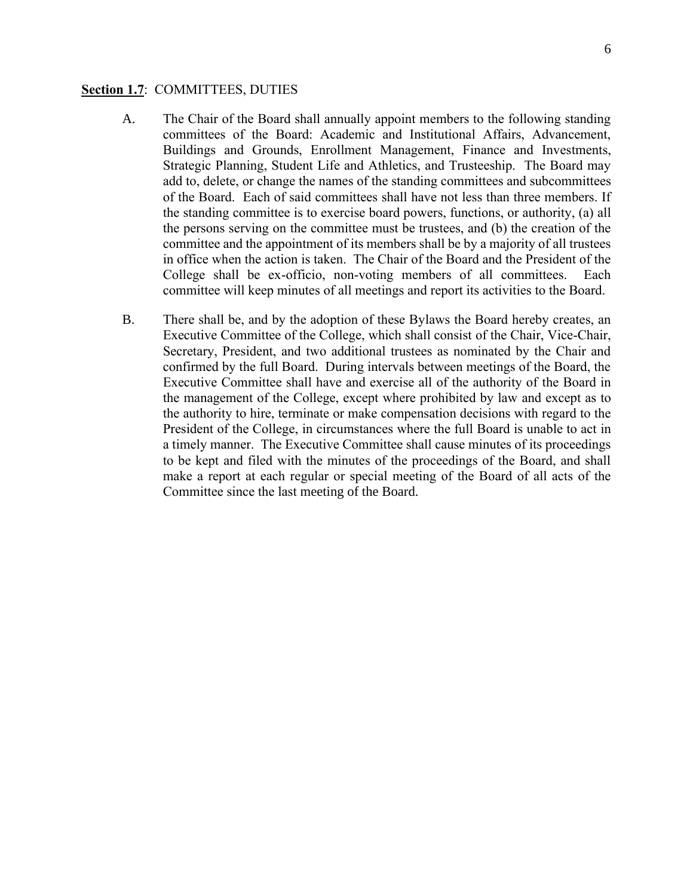#### **Section 1.7**: COMMITTEES, DUTIES

- A. The Chair of the Board shall annually appoint members to the following standing committees of the Board: Academic and Institutional Affairs, Advancement, Buildings and Grounds, Enrollment Management, Finance and Investments, Strategic Planning, Student Life and Athletics, and Trusteeship. The Board may add to, delete, or change the names of the standing committees and subcommittees of the Board. Each of said committees shall have not less than three members. If the standing committee is to exercise board powers, functions, or authority, (a) all the persons serving on the committee must be trustees, and (b) the creation of the committee and the appointment of its members shall be by a majority of all trustees in office when the action is taken. The Chair of the Board and the President of the College shall be ex-officio, non-voting members of all committees. Each committee will keep minutes of all meetings and report its activities to the Board.
- B. There shall be, and by the adoption of these Bylaws the Board hereby creates, an Executive Committee of the College, which shall consist of the Chair, Vice-Chair, Secretary, President, and two additional trustees as nominated by the Chair and confirmed by the full Board. During intervals between meetings of the Board, the Executive Committee shall have and exercise all of the authority of the Board in the management of the College, except where prohibited by law and except as to the authority to hire, terminate or make compensation decisions with regard to the President of the College, in circumstances where the full Board is unable to act in a timely manner. The Executive Committee shall cause minutes of its proceedings to be kept and filed with the minutes of the proceedings of the Board, and shall make a report at each regular or special meeting of the Board of all acts of the Committee since the last meeting of the Board.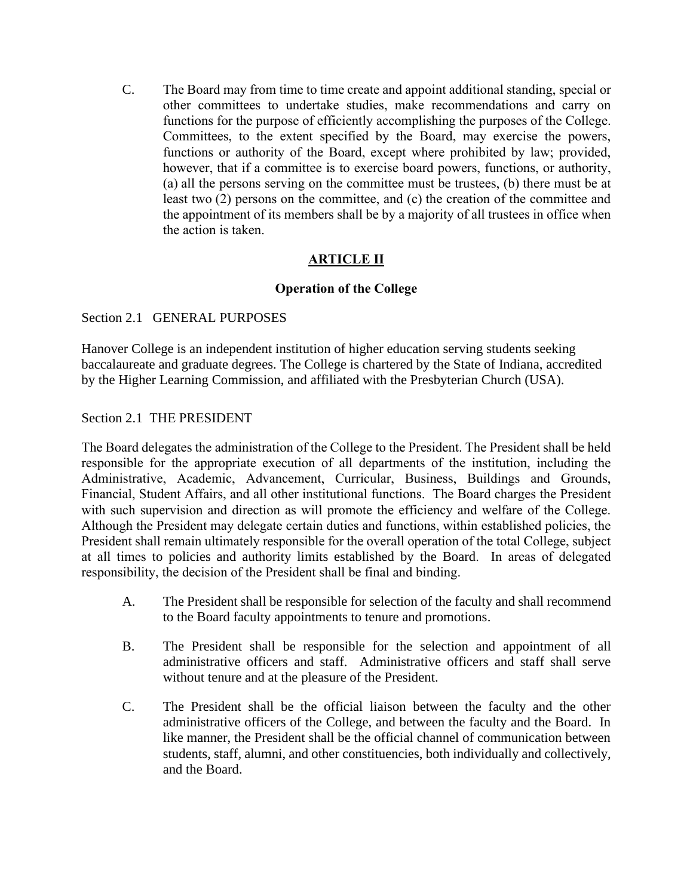C. The Board may from time to time create and appoint additional standing, special or other committees to undertake studies, make recommendations and carry on functions for the purpose of efficiently accomplishing the purposes of the College. Committees, to the extent specified by the Board, may exercise the powers, functions or authority of the Board, except where prohibited by law; provided, however, that if a committee is to exercise board powers, functions, or authority, (a) all the persons serving on the committee must be trustees, (b) there must be at least two (2) persons on the committee, and (c) the creation of the committee and the appointment of its members shall be by a majority of all trustees in office when the action is taken.

# **ARTICLE II**

# **Operation of the College**

### Section 2.1 GENERAL PURPOSES

Hanover College is an independent institution of higher education serving students seeking baccalaureate and graduate degrees. The College is chartered by the State of Indiana, accredited by the Higher Learning Commission, and affiliated with the Presbyterian Church (USA).

### Section 2.1 THE PRESIDENT

The Board delegates the administration of the College to the President. The President shall be held responsible for the appropriate execution of all departments of the institution, including the Administrative, Academic, Advancement, Curricular, Business, Buildings and Grounds, Financial, Student Affairs, and all other institutional functions. The Board charges the President with such supervision and direction as will promote the efficiency and welfare of the College. Although the President may delegate certain duties and functions, within established policies, the President shall remain ultimately responsible for the overall operation of the total College, subject at all times to policies and authority limits established by the Board. In areas of delegated responsibility, the decision of the President shall be final and binding.

- A. The President shall be responsible for selection of the faculty and shall recommend to the Board faculty appointments to tenure and promotions.
- B. The President shall be responsible for the selection and appointment of all administrative officers and staff. Administrative officers and staff shall serve without tenure and at the pleasure of the President.
- C. The President shall be the official liaison between the faculty and the other administrative officers of the College, and between the faculty and the Board. In like manner, the President shall be the official channel of communication between students, staff, alumni, and other constituencies, both individually and collectively, and the Board.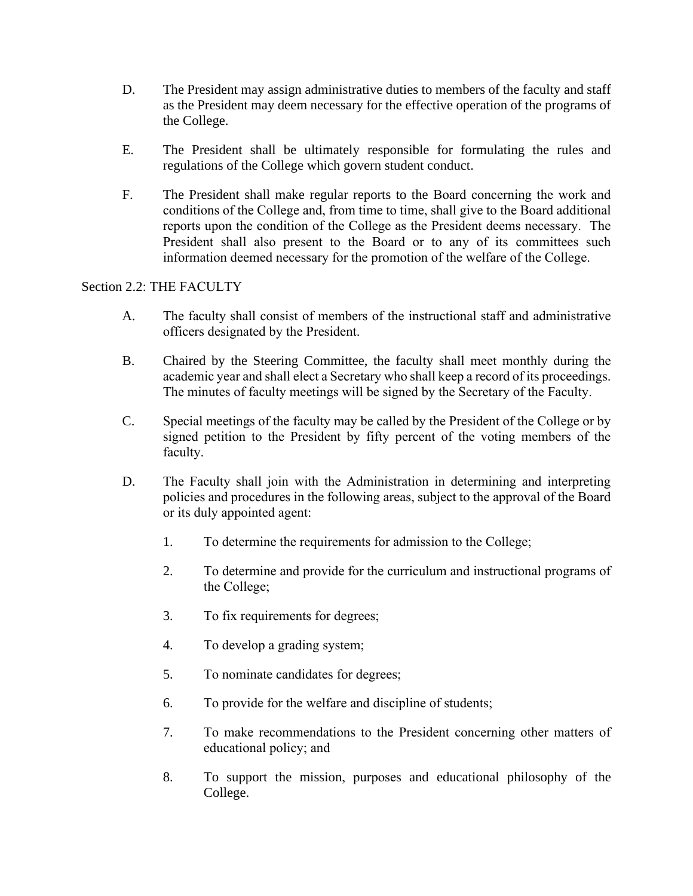- D. The President may assign administrative duties to members of the faculty and staff as the President may deem necessary for the effective operation of the programs of the College.
- E. The President shall be ultimately responsible for formulating the rules and regulations of the College which govern student conduct.
- F. The President shall make regular reports to the Board concerning the work and conditions of the College and, from time to time, shall give to the Board additional reports upon the condition of the College as the President deems necessary. The President shall also present to the Board or to any of its committees such information deemed necessary for the promotion of the welfare of the College.

# Section 2.2: THE FACULTY

- A. The faculty shall consist of members of the instructional staff and administrative officers designated by the President.
- B. Chaired by the Steering Committee, the faculty shall meet monthly during the academic year and shall elect a Secretary who shall keep a record of its proceedings. The minutes of faculty meetings will be signed by the Secretary of the Faculty.
- C. Special meetings of the faculty may be called by the President of the College or by signed petition to the President by fifty percent of the voting members of the faculty.
- D. The Faculty shall join with the Administration in determining and interpreting policies and procedures in the following areas, subject to the approval of the Board or its duly appointed agent:
	- 1. To determine the requirements for admission to the College;
	- 2. To determine and provide for the curriculum and instructional programs of the College;
	- 3. To fix requirements for degrees;
	- 4. To develop a grading system;
	- 5. To nominate candidates for degrees;
	- 6. To provide for the welfare and discipline of students;
	- 7. To make recommendations to the President concerning other matters of educational policy; and
	- 8. To support the mission, purposes and educational philosophy of the College.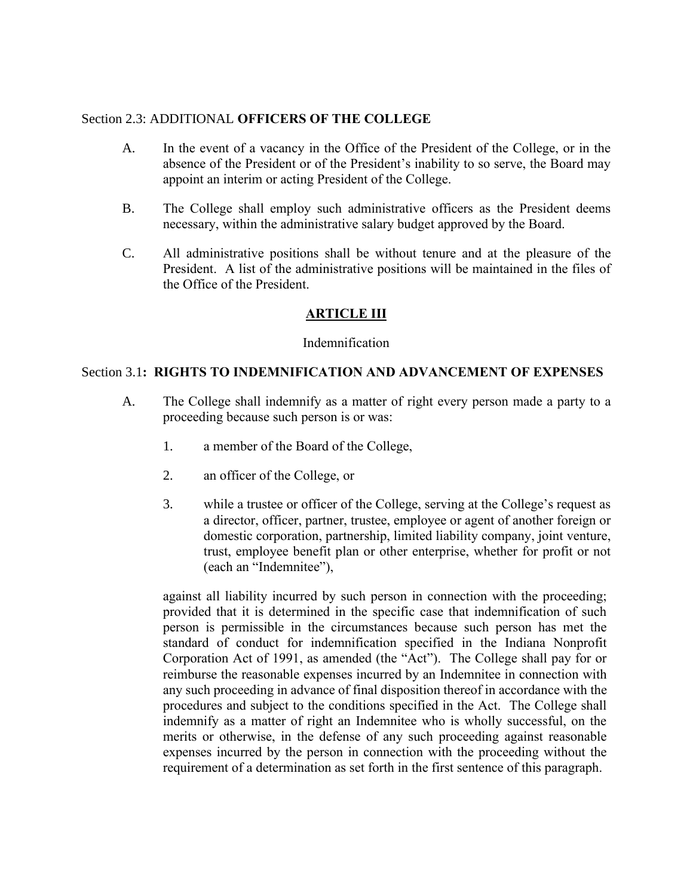### Section 2.3: ADDITIONAL **OFFICERS OF THE COLLEGE**

- A. In the event of a vacancy in the Office of the President of the College, or in the absence of the President or of the President's inability to so serve, the Board may appoint an interim or acting President of the College.
- B. The College shall employ such administrative officers as the President deems necessary, within the administrative salary budget approved by the Board.
- C. All administrative positions shall be without tenure and at the pleasure of the President. A list of the administrative positions will be maintained in the files of the Office of the President.

# **ARTICLE III**

### Indemnification

### Section 3.1**: RIGHTS TO INDEMNIFICATION AND ADVANCEMENT OF EXPENSES**

- A. The College shall indemnify as a matter of right every person made a party to a proceeding because such person is or was:
	- 1. a member of the Board of the College,
	- 2. an officer of the College, or
	- 3. while a trustee or officer of the College, serving at the College's request as a director, officer, partner, trustee, employee or agent of another foreign or domestic corporation, partnership, limited liability company, joint venture, trust, employee benefit plan or other enterprise, whether for profit or not (each an "Indemnitee"),

against all liability incurred by such person in connection with the proceeding; provided that it is determined in the specific case that indemnification of such person is permissible in the circumstances because such person has met the standard of conduct for indemnification specified in the Indiana Nonprofit Corporation Act of 1991, as amended (the "Act"). The College shall pay for or reimburse the reasonable expenses incurred by an Indemnitee in connection with any such proceeding in advance of final disposition thereof in accordance with the procedures and subject to the conditions specified in the Act. The College shall indemnify as a matter of right an Indemnitee who is wholly successful, on the merits or otherwise, in the defense of any such proceeding against reasonable expenses incurred by the person in connection with the proceeding without the requirement of a determination as set forth in the first sentence of this paragraph.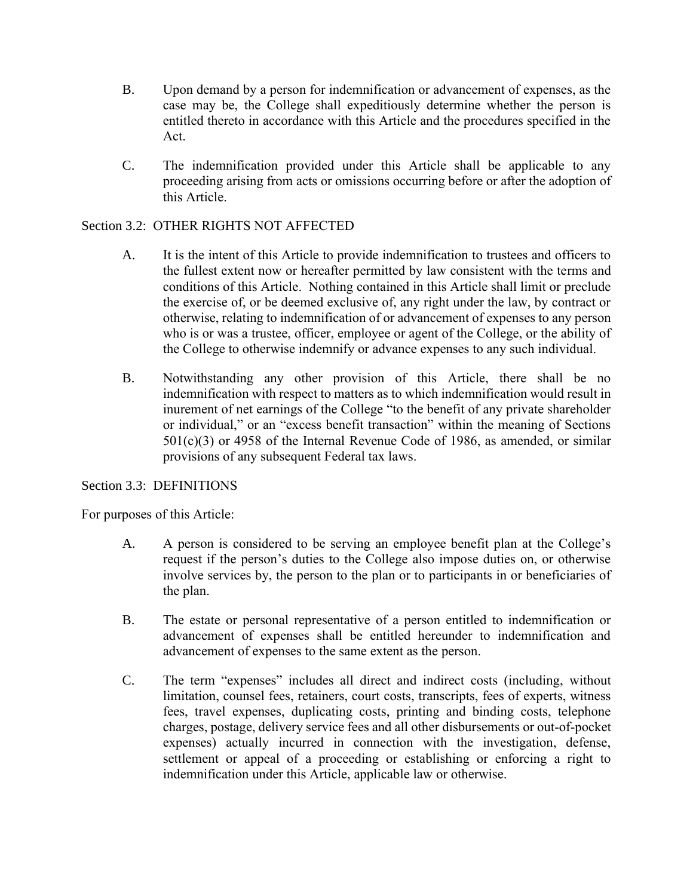- B. Upon demand by a person for indemnification or advancement of expenses, as the case may be, the College shall expeditiously determine whether the person is entitled thereto in accordance with this Article and the procedures specified in the Act.
- C. The indemnification provided under this Article shall be applicable to any proceeding arising from acts or omissions occurring before or after the adoption of this Article.

# Section 3.2: OTHER RIGHTS NOT AFFECTED

- A. It is the intent of this Article to provide indemnification to trustees and officers to the fullest extent now or hereafter permitted by law consistent with the terms and conditions of this Article. Nothing contained in this Article shall limit or preclude the exercise of, or be deemed exclusive of, any right under the law, by contract or otherwise, relating to indemnification of or advancement of expenses to any person who is or was a trustee, officer, employee or agent of the College, or the ability of the College to otherwise indemnify or advance expenses to any such individual.
- B. Notwithstanding any other provision of this Article, there shall be no indemnification with respect to matters as to which indemnification would result in inurement of net earnings of the College "to the benefit of any private shareholder or individual," or an "excess benefit transaction" within the meaning of Sections  $501(c)(3)$  or 4958 of the Internal Revenue Code of 1986, as amended, or similar provisions of any subsequent Federal tax laws.

### Section 3.3: DEFINITIONS

For purposes of this Article:

- A. A person is considered to be serving an employee benefit plan at the College's request if the person's duties to the College also impose duties on, or otherwise involve services by, the person to the plan or to participants in or beneficiaries of the plan.
- B. The estate or personal representative of a person entitled to indemnification or advancement of expenses shall be entitled hereunder to indemnification and advancement of expenses to the same extent as the person.
- C. The term "expenses" includes all direct and indirect costs (including, without limitation, counsel fees, retainers, court costs, transcripts, fees of experts, witness fees, travel expenses, duplicating costs, printing and binding costs, telephone charges, postage, delivery service fees and all other disbursements or out-of-pocket expenses) actually incurred in connection with the investigation, defense, settlement or appeal of a proceeding or establishing or enforcing a right to indemnification under this Article, applicable law or otherwise.